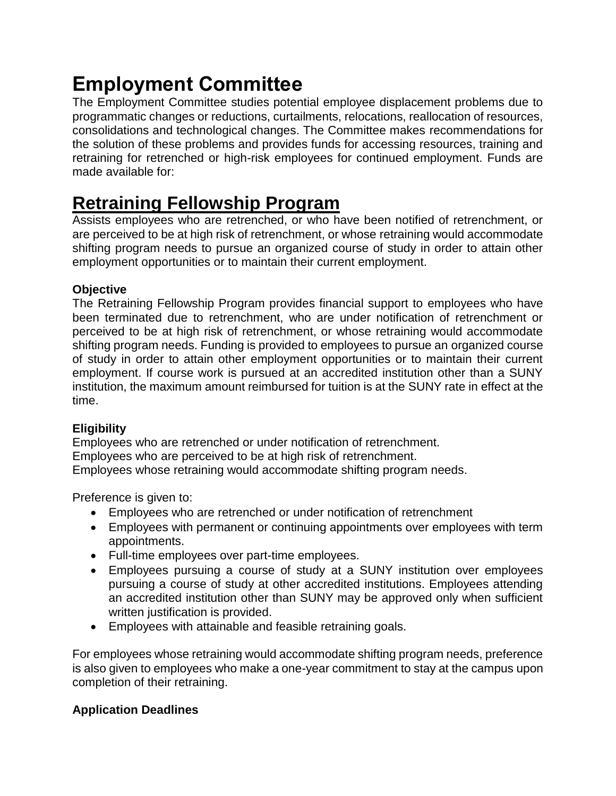# **Employment Committee**

The Employment Committee studies potential employee displacement problems due to programmatic changes or reductions, curtailments, relocations, reallocation of resources, consolidations and technological changes. The Committee makes recommendations for the solution of these problems and provides funds for accessing resources, training and retraining for retrenched or high-risk employees for continued employment. Funds are made available for:

# **[Retraining Fellowship Program](https://www.nysuup.lmc.ny.gov/employment/retraining.html)**

Assists employees who are retrenched, or who have been notified of retrenchment, or are perceived to be at high risk of retrenchment, or whose retraining would accommodate shifting program needs to pursue an organized course of study in order to attain other employment opportunities or to maintain their current employment.

### **Objective**

The Retraining Fellowship Program provides financial support to employees who have been terminated due to retrenchment, who are under notification of retrenchment or perceived to be at high risk of retrenchment, or whose retraining would accommodate shifting program needs. Funding is provided to employees to pursue an organized course of study in order to attain other employment opportunities or to maintain their current employment. If course work is pursued at an accredited institution other than a SUNY institution, the maximum amount reimbursed for tuition is at the SUNY rate in effect at the time.

# **Eligibility**

Employees who are retrenched or under notification of retrenchment. Employees who are perceived to be at high risk of retrenchment. Employees whose retraining would accommodate shifting program needs.

Preference is given to:

- Employees who are retrenched or under notification of retrenchment
- Employees with permanent or continuing appointments over employees with term appointments.
- Full-time employees over part-time employees.
- Employees pursuing a course of study at a SUNY institution over employees pursuing a course of study at other accredited institutions. Employees attending an accredited institution other than SUNY may be approved only when sufficient written justification is provided.
- Employees with attainable and feasible retraining goals.

For employees whose retraining would accommodate shifting program needs, preference is also given to employees who make a one-year commitment to stay at the campus upon completion of their retraining.

# **Application Deadlines**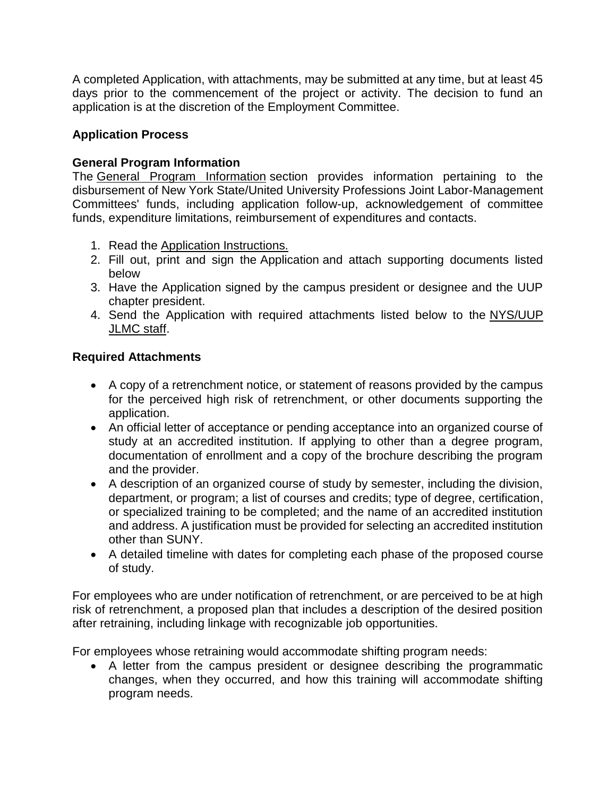A completed Application, with attachments, may be submitted at any time, but at least 45 days prior to the commencement of the project or activity. The decision to fund an application is at the discretion of the Employment Committee.

#### **Application Process**

#### **General Program Information**

The [General Program Information](https://oer.ny.gov/general-program-information) section provides information pertaining to the disbursement of New York State/United University Professions Joint Labor-Management Committees' funds, including application follow-up, acknowledgement of committee funds, expenditure limitations, reimbursement of expenditures and contacts.

- 1. Read the [Application Instructions.](https://oer.ny.gov/instructions-completing-fillable-pdf-application)
- 2. Fill out, print and sign the [Application](https://www.nysuup.lmc.ny.gov/forms/Retraining-Fellowship-Program-FILLABLE-APPLICATION.pdf) and attach supporting documents listed below
- 3. Have the Application signed by the campus president or designee and the UUP chapter president.
- 4. Send the Application with required attachments listed below to the [NYS/UUP](mailto:nysuuplmc@oer.ny.gov) [JLMC staff.](mailto:nysuuplmc@oer.ny.gov)

# **Required Attachments**

- A copy of a retrenchment notice, or statement of reasons provided by the campus for the perceived high risk of retrenchment, or other documents supporting the application.
- An official letter of acceptance or pending acceptance into an organized course of study at an accredited institution. If applying to other than a degree program, documentation of enrollment and a copy of the brochure describing the program and the provider.
- A description of an organized course of study by semester, including the division, department, or program; a list of courses and credits; type of degree, certification, or specialized training to be completed; and the name of an accredited institution and address. A justification must be provided for selecting an accredited institution other than SUNY.
- A detailed timeline with dates for completing each phase of the proposed course of study.

For employees who are under notification of retrenchment, or are perceived to be at high risk of retrenchment, a proposed plan that includes a description of the desired position after retraining, including linkage with recognizable job opportunities.

For employees whose retraining would accommodate shifting program needs:

 A letter from the campus president or designee describing the programmatic changes, when they occurred, and how this training will accommodate shifting program needs.